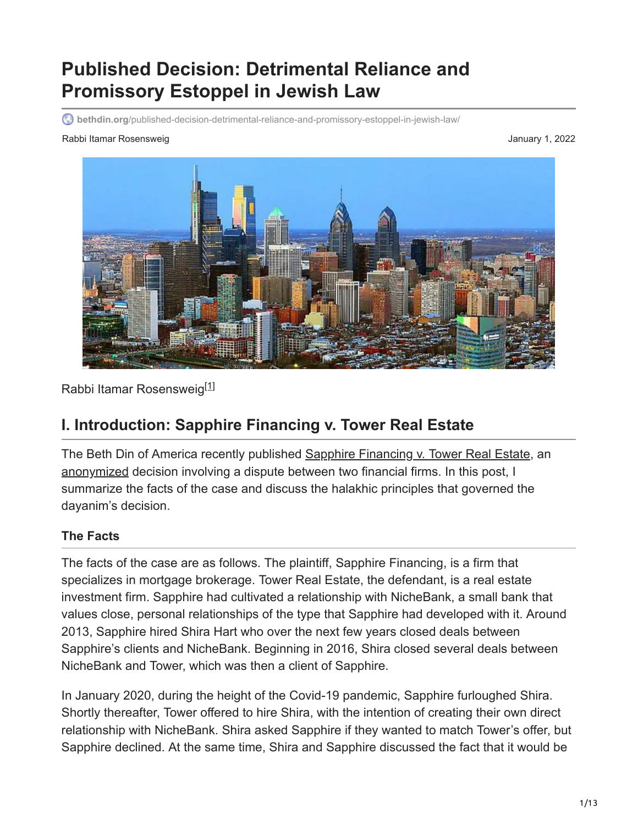# **Published Decision: Detrimental Reliance and Promissory Estoppel in Jewish Law**

**bethdin.org**[/published-decision-detrimental-reliance-and-promissory-estoppel-in-jewish-law/](https://bethdin.org/published-decision-detrimental-reliance-and-promissory-estoppel-in-jewish-law/)

#### Rabbi Itamar Rosensweig January 1, 2022



Rabbi Itamar Rosensweig<sup>[\[1\]](https://bethdin.org/published-decision-detrimental-reliance-and-promissory-estoppel-in-jewish-law/#_ftn1)</sup>

### **I. Introduction: Sapphire Financing v. Tower Real Estate**

The Beth Din of America recently published [Sapphire Financing v. Tower Real Estate,](https://bethdin.org/wp-content/uploads/2022/01/REPORTED-DECISION-13-1.pdf) an [anonymized](https://bethdin.org/psak-anonymization/) decision involving a dispute between two financial firms. In this post, I summarize the facts of the case and discuss the halakhic principles that governed the dayanim's decision.

#### **The Facts**

The facts of the case are as follows. The plaintiff, Sapphire Financing, is a firm that specializes in mortgage brokerage. Tower Real Estate, the defendant, is a real estate investment firm. Sapphire had cultivated a relationship with NicheBank, a small bank that values close, personal relationships of the type that Sapphire had developed with it. Around 2013, Sapphire hired Shira Hart who over the next few years closed deals between Sapphire's clients and NicheBank. Beginning in 2016, Shira closed several deals between NicheBank and Tower, which was then a client of Sapphire.

In January 2020, during the height of the Covid-19 pandemic, Sapphire furloughed Shira. Shortly thereafter, Tower offered to hire Shira, with the intention of creating their own direct relationship with NicheBank. Shira asked Sapphire if they wanted to match Tower's offer, but Sapphire declined. At the same time, Shira and Sapphire discussed the fact that it would be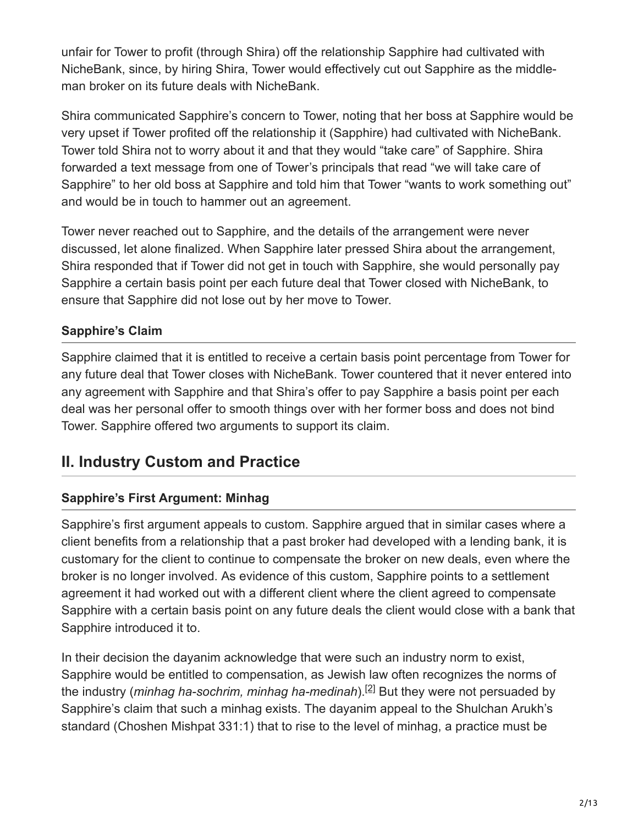unfair for Tower to profit (through Shira) off the relationship Sapphire had cultivated with NicheBank, since, by hiring Shira, Tower would effectively cut out Sapphire as the middleman broker on its future deals with NicheBank.

Shira communicated Sapphire's concern to Tower, noting that her boss at Sapphire would be very upset if Tower profited off the relationship it (Sapphire) had cultivated with NicheBank. Tower told Shira not to worry about it and that they would "take care" of Sapphire. Shira forwarded a text message from one of Tower's principals that read "we will take care of Sapphire" to her old boss at Sapphire and told him that Tower "wants to work something out" and would be in touch to hammer out an agreement.

Tower never reached out to Sapphire, and the details of the arrangement were never discussed, let alone finalized. When Sapphire later pressed Shira about the arrangement, Shira responded that if Tower did not get in touch with Sapphire, she would personally pay Sapphire a certain basis point per each future deal that Tower closed with NicheBank, to ensure that Sapphire did not lose out by her move to Tower.

#### **Sapphire's Claim**

Sapphire claimed that it is entitled to receive a certain basis point percentage from Tower for any future deal that Tower closes with NicheBank. Tower countered that it never entered into any agreement with Sapphire and that Shira's offer to pay Sapphire a basis point per each deal was her personal offer to smooth things over with her former boss and does not bind Tower. Sapphire offered two arguments to support its claim.

### **II. Industry Custom and Practice**

#### **Sapphire's First Argument: Minhag**

Sapphire's first argument appeals to custom. Sapphire argued that in similar cases where a client benefits from a relationship that a past broker had developed with a lending bank, it is customary for the client to continue to compensate the broker on new deals, even where the broker is no longer involved. As evidence of this custom, Sapphire points to a settlement agreement it had worked out with a different client where the client agreed to compensate Sapphire with a certain basis point on any future deals the client would close with a bank that Sapphire introduced it to.

In their decision the dayanim acknowledge that were such an industry norm to exist, Sapphire would be entitled to compensation, as Jewish law often recognizes the norms of the industry (*minhag ha-sochrim, minhag ha-medinah*).<sup>[2]</sup> But they were not persuaded by Sapphire's claim that such a minhag exists. The dayanim appeal to the Shulchan Arukh's standard (Choshen Mishpat 331:1) that to rise to the level of minhag, a practice must be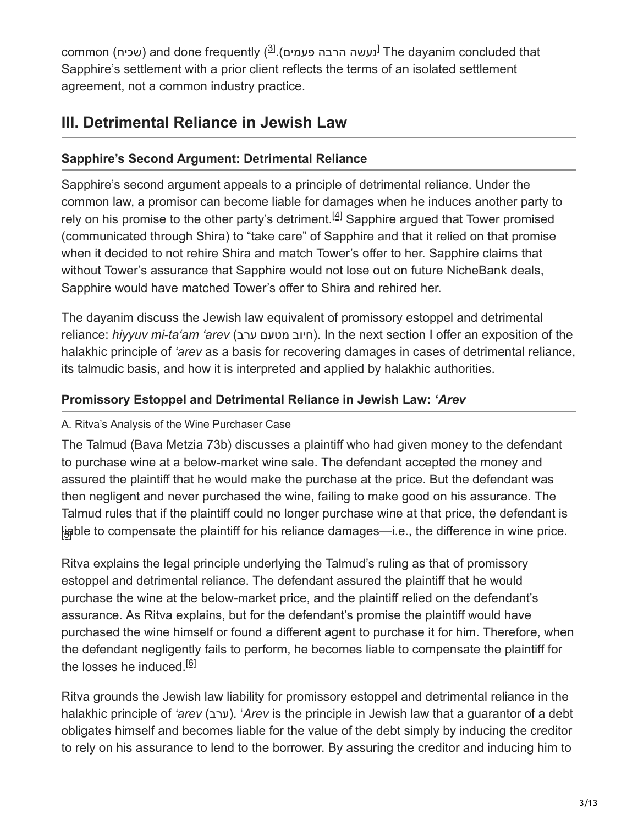common (שכיח) and done frequently ( $^{\text{(3)}}$ . (פעמים The dayanim concluded that Sapphire's settlement with a prior client reflects the terms of an isolated settlement agreement, not a common industry practice.

## **III. Detrimental Reliance in Jewish Law**

### **Sapphire's Second Argument: Detrimental Reliance**

Sapphire's second argument appeals to a principle of detrimental reliance. Under the common law, a promisor can become liable for damages when he induces another party to relyon his promise to the other party's detriment.<sup>[4]</sup> Sapphire argued that Tower promised (communicated through Shira) to "take care" of Sapphire and that it relied on that promise when it decided to not rehire Shira and match Tower's offer to her. Sapphire claims that without Tower's assurance that Sapphire would not lose out on future NicheBank deals, Sapphire would have matched Tower's offer to Shira and rehired her.

The dayanim discuss the Jewish law equivalent of promissory estoppel and detrimental reliance: *hiyyuv mi-ta'am 'arev* (חיוב מטעם ערב). In the next section I offer an exposition of the halakhic principle of *'arev* as a basis for recovering damages in cases of detrimental reliance, its talmudic basis, and how it is interpreted and applied by halakhic authorities.

#### **Promissory Estoppel and Detrimental Reliance in Jewish Law:** *'Arev*

#### A. Ritva's Analysis of the Wine Purchaser Case

The Talmud (Bava Metzia 73b) discusses a plaintiff who had given money to the defendant to purchase wine at a below-market wine sale. The defendant accepted the money and assured the plaintiff that he would make the purchase at the price. But the defendant was then negligent and never purchased the wine, failing to make good on his assurance. The Talmud rules that if the plaintiff could no longer purchase wine at that price, the defendant is liable to compensate the plaintiff for his reliance damages—i.e., the difference in wine price.

Ritva explains the legal principle underlying the Talmud's ruling as that of promissory estoppel and detrimental reliance. The defendant assured the plaintiff that he would purchase the wine at the below-market price, and the plaintiff relied on the defendant's assurance. As Ritva explains, but for the defendant's promise the plaintiff would have purchased the wine himself or found a different agent to purchase it for him. Therefore, when the defendant negligently fails to perform, he becomes liable to compensate the plaintiff for the losses he induced.<sup>[\[6\]](https://bethdin.org/published-decision-detrimental-reliance-and-promissory-estoppel-in-jewish-law/#_ftn6)</sup>

Ritva grounds the Jewish law liability for promissory estoppel and detrimental reliance in the halakhic principle of *'arev* (ערב). 'Arev is the principle in Jewish law that a guarantor of a debt obligates himself and becomes liable for the value of the debt simply by inducing the creditor to rely on his assurance to lend to the borrower. By assuring the creditor and inducing him to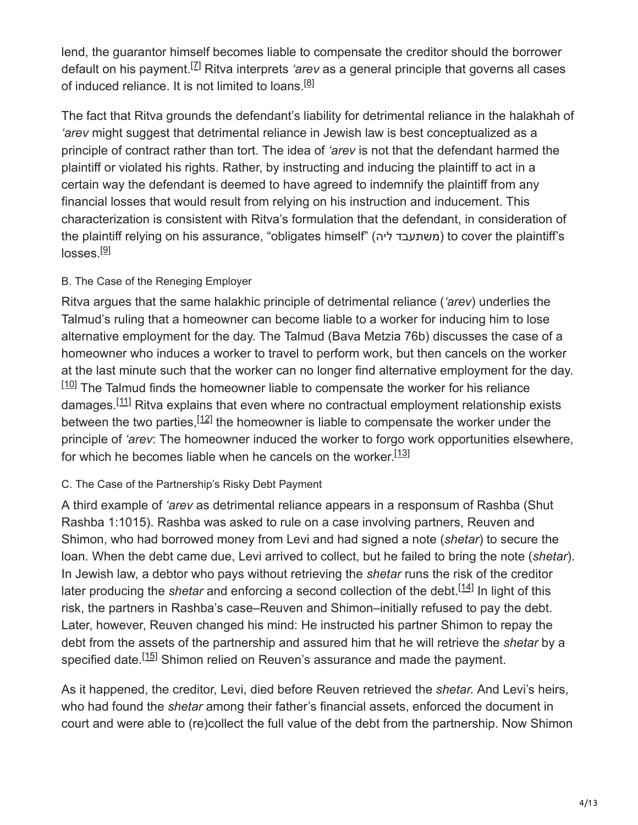lend, the guarantor himself becomes liable to compensate the creditor should the borrower default on his payment.<sup>[Z]</sup> Ritva interprets *'arev* as a general principle that governs all cases of induced reliance. It is not limited to loans.<sup>[\[8\]](https://bethdin.org/published-decision-detrimental-reliance-and-promissory-estoppel-in-jewish-law/#_ftn8)</sup>

The fact that Ritva grounds the defendant's liability for detrimental reliance in the halakhah of *'arev* might suggest that detrimental reliance in Jewish law is best conceptualized as a principle of contract rather than tort. The idea of *'arev* is not that the defendant harmed the plaintiff or violated his rights. Rather, by instructing and inducing the plaintiff to act in a certain way the defendant is deemed to have agreed to indemnify the plaintiff from any financial losses that would result from relying on his instruction and inducement. This characterization is consistent with Ritva's formulation that the defendant, in consideration of the plaintiff relying on his assurance, "obligates himself" (משתעבד ליה) to cover the plaintiff's losses.<sup>[\[9\]](https://bethdin.org/published-decision-detrimental-reliance-and-promissory-estoppel-in-jewish-law/#_ftn9)</sup>

#### B. The Case of the Reneging Employer

Ritva argues that the same halakhic principle of detrimental reliance (*'arev*) underlies the Talmud's ruling that a homeowner can become liable to a worker for inducing him to lose alternative employment for the day. The Talmud (Bava Metzia 76b) discusses the case of a homeowner who induces a worker to travel to perform work, but then cancels on the worker at the last minute such that the worker can no longer find alternative employment for the day.  $[10]$  The Talmud finds the homeowner liable to compensate the worker for his reliance damages.<sup>[11]</sup> Ritva explains that even where no contractual employment relationship exists between the two parties,  $[12]$  the homeowner is liable to compensate the worker under the principle of *'arev*: The homeowner induced the worker to forgo work opportunities elsewhere, for which he becomes liable when he cancels on the worker.<sup>[\[13\]](https://bethdin.org/published-decision-detrimental-reliance-and-promissory-estoppel-in-jewish-law/#_ftn13)</sup>

#### C. The Case of the Partnership's Risky Debt Payment

A third example of *'arev* as detrimental reliance appears in a responsum of Rashba (Shut Rashba 1:1015). Rashba was asked to rule on a case involving partners, Reuven and Shimon, who had borrowed money from Levi and had signed a note (*shetar*) to secure the loan. When the debt came due, Levi arrived to collect, but he failed to bring the note (*shetar*). In Jewish law, a debtor who pays without retrieving the *shetar* runs the risk of the creditor laterproducing the *shetar* and enforcing a second collection of the debt.<sup>[14]</sup> In light of this risk, the partners in Rashba's case–Reuven and Shimon–initially refused to pay the debt. Later, however, Reuven changed his mind: He instructed his partner Shimon to repay the debt from the assets of the partnership and assured him that he will retrieve the *shetar* by a specified date.<sup>[15]</sup> Shimon relied on Reuven's assurance and made the payment.

As it happened, the creditor, Levi, died before Reuven retrieved the *shetar.* And Levi's heirs, who had found the *shetar* among their father's financial assets, enforced the document in court and were able to (re)collect the full value of the debt from the partnership. Now Shimon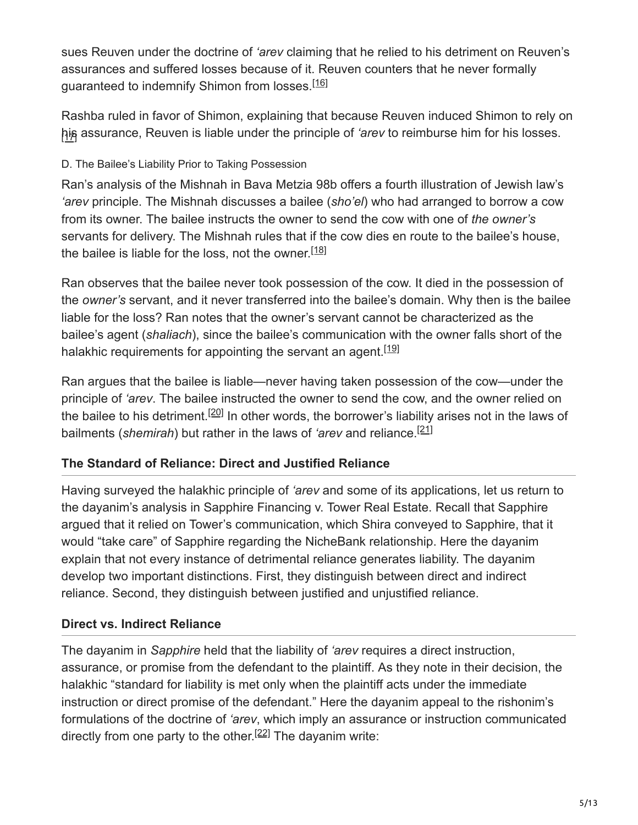sues Reuven under the doctrine of *'arev* claiming that he relied to his detriment on Reuven's assurances and suffered losses because of it. Reuven counters that he never formally guaranteed to indemnify Shimon from losses.<sup>[\[16\]](https://bethdin.org/published-decision-detrimental-reliance-and-promissory-estoppel-in-jewish-law/#_ftn16)</sup>

Rashba ruled in favor of Shimon, explaining that because Reuven induced Shimon to rely on his assurance, Reuven is liable under the principle of *'arev* to reimburse him for his losses.

#### D. The Bailee's Liability Prior to Taking Possession

Ran's analysis of the Mishnah in Bava Metzia 98b offers a fourth illustration of Jewish law's *'arev* principle. The Mishnah discusses a bailee (*sho'el*) who had arranged to borrow a cow from its owner. The bailee instructs the owner to send the cow with one of *the owner's* servants for delivery. The Mishnah rules that if the cow dies en route to the bailee's house, the bailee is liable for the loss, not the owner.<sup>[\[18\]](https://bethdin.org/published-decision-detrimental-reliance-and-promissory-estoppel-in-jewish-law/#_ftn18)</sup>

Ran observes that the bailee never took possession of the cow. It died in the possession of the *owner's* servant, and it never transferred into the bailee's domain. Why then is the bailee liable for the loss? Ran notes that the owner's servant cannot be characterized as the bailee's agent (*shaliach*), since the bailee's communication with the owner falls short of the halakhic requirements for appointing the servant an agent.<sup>[\[19\]](https://bethdin.org/published-decision-detrimental-reliance-and-promissory-estoppel-in-jewish-law/#_ftn19)</sup>

Ran argues that the bailee is liable—never having taken possession of the cow—under the principle of *'arev*. The bailee instructed the owner to send the cow, and the owner relied on the bailee to his detriment.<sup>[20]</sup> In other words, the borrower's liability arises not in the laws of bailments (*shemirah*) but rather in the laws of *'arev* and reliance. [\[21\]](https://bethdin.org/published-decision-detrimental-reliance-and-promissory-estoppel-in-jewish-law/#_ftn21)

#### **The Standard of Reliance: Direct and Justified Reliance**

Having surveyed the halakhic principle of *'arev* and some of its applications, let us return to the dayanim's analysis in Sapphire Financing v. Tower Real Estate. Recall that Sapphire argued that it relied on Tower's communication, which Shira conveyed to Sapphire, that it would "take care" of Sapphire regarding the NicheBank relationship. Here the dayanim explain that not every instance of detrimental reliance generates liability. The dayanim develop two important distinctions. First, they distinguish between direct and indirect reliance. Second, they distinguish between justified and unjustified reliance.

#### **Direct vs. Indirect Reliance**

The dayanim in *Sapphire* held that the liability of *'arev* requires a direct instruction, assurance, or promise from the defendant to the plaintiff. As they note in their decision, the halakhic "standard for liability is met only when the plaintiff acts under the immediate instruction or direct promise of the defendant." Here the dayanim appeal to the rishonim's formulations of the doctrine of *'arev*, which imply an assurance or instruction communicated directly from one party to the other.<sup>[22]</sup> The dayanim write: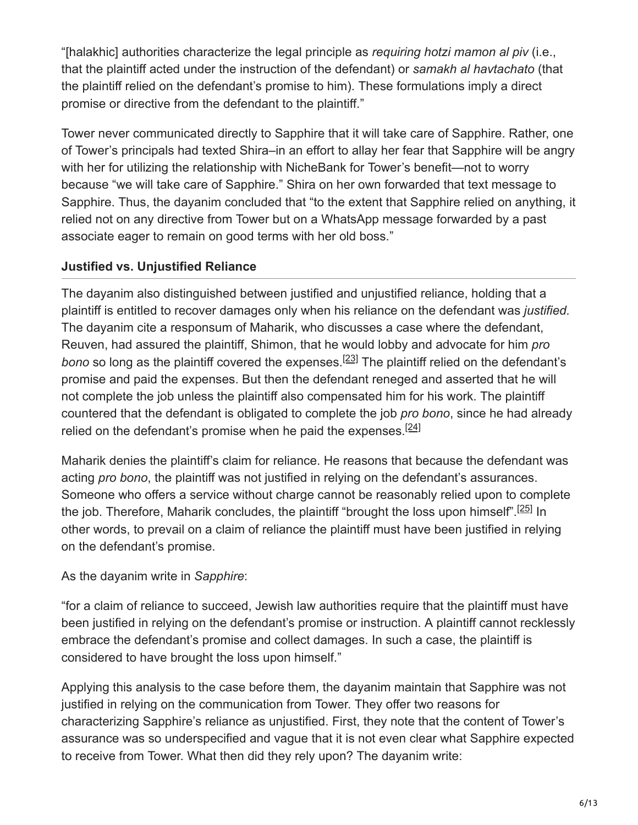"[halakhic] authorities characterize the legal principle as *requiring hotzi mamon al piv* (i.e., that the plaintiff acted under the instruction of the defendant) or *samakh al havtachato* (that the plaintiff relied on the defendant's promise to him). These formulations imply a direct promise or directive from the defendant to the plaintiff."

Tower never communicated directly to Sapphire that it will take care of Sapphire. Rather, one of Tower's principals had texted Shira–in an effort to allay her fear that Sapphire will be angry with her for utilizing the relationship with NicheBank for Tower's benefit—not to worry because "we will take care of Sapphire." Shira on her own forwarded that text message to Sapphire. Thus, the dayanim concluded that "to the extent that Sapphire relied on anything, it relied not on any directive from Tower but on a WhatsApp message forwarded by a past associate eager to remain on good terms with her old boss."

#### **Justified vs. Unjustified Reliance**

The dayanim also distinguished between justified and unjustified reliance, holding that a plaintiff is entitled to recover damages only when his reliance on the defendant was *justified.* The dayanim cite a responsum of Maharik, who discusses a case where the defendant, Reuven, had assured the plaintiff, Shimon, that he would lobby and advocate for him *pro* bonoso long as the plaintiff covered the expenses.<sup>[23]</sup> The plaintiff relied on the defendant's promise and paid the expenses. But then the defendant reneged and asserted that he will not complete the job unless the plaintiff also compensated him for his work. The plaintiff countered that the defendant is obligated to complete the job *pro bono*, since he had already relied on the defendant's promise when he paid the expenses.<sup>[\[24\]](https://bethdin.org/published-decision-detrimental-reliance-and-promissory-estoppel-in-jewish-law/#_ftn24)</sup>

Maharik denies the plaintiff's claim for reliance. He reasons that because the defendant was acting *pro bono*, the plaintiff was not justified in relying on the defendant's assurances. Someone who offers a service without charge cannot be reasonably relied upon to complete the job[.](https://bethdin.org/published-decision-detrimental-reliance-and-promissory-estoppel-in-jewish-law/#_ftn25) Therefore, Maharik concludes, the plaintiff "brought the loss upon himself".<sup>[25]</sup> In other words, to prevail on a claim of reliance the plaintiff must have been justified in relying on the defendant's promise.

#### As the dayanim write in *Sapphire*:

"for a claim of reliance to succeed, Jewish law authorities require that the plaintiff must have been justified in relying on the defendant's promise or instruction. A plaintiff cannot recklessly embrace the defendant's promise and collect damages. In such a case, the plaintiff is considered to have brought the loss upon himself."

Applying this analysis to the case before them, the dayanim maintain that Sapphire was not justified in relying on the communication from Tower. They offer two reasons for characterizing Sapphire's reliance as unjustified. First, they note that the content of Tower's assurance was so underspecified and vague that it is not even clear what Sapphire expected to receive from Tower. What then did they rely upon? The dayanim write: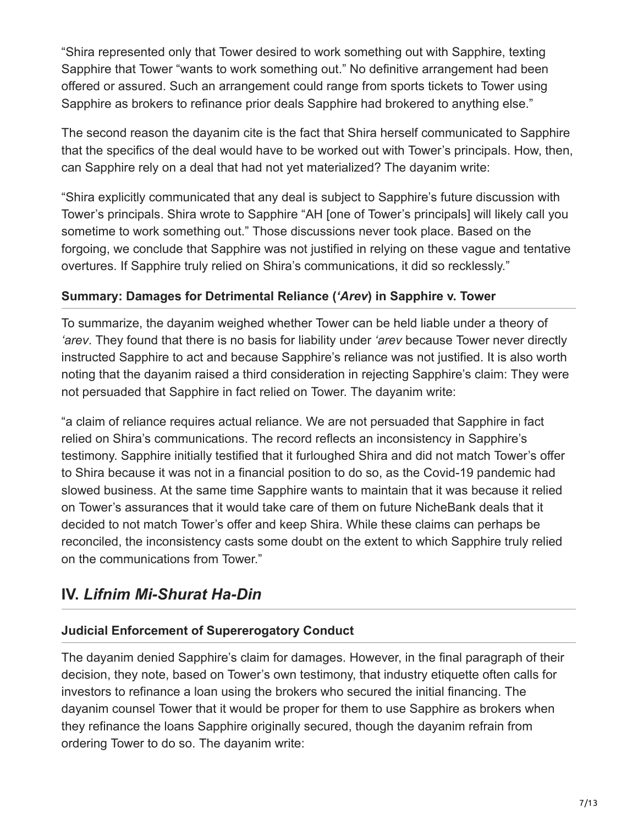"Shira represented only that Tower desired to work something out with Sapphire, texting Sapphire that Tower "wants to work something out." No definitive arrangement had been offered or assured. Such an arrangement could range from sports tickets to Tower using Sapphire as brokers to refinance prior deals Sapphire had brokered to anything else."

The second reason the dayanim cite is the fact that Shira herself communicated to Sapphire that the specifics of the deal would have to be worked out with Tower's principals. How, then, can Sapphire rely on a deal that had not yet materialized? The dayanim write:

"Shira explicitly communicated that any deal is subject to Sapphire's future discussion with Tower's principals. Shira wrote to Sapphire "AH [one of Tower's principals] will likely call you sometime to work something out." Those discussions never took place. Based on the forgoing, we conclude that Sapphire was not justified in relying on these vague and tentative overtures. If Sapphire truly relied on Shira's communications, it did so recklessly."

#### **Summary: Damages for Detrimental Reliance (***'Arev***) in Sapphire v. Tower**

To summarize, the dayanim weighed whether Tower can be held liable under a theory of *'arev*. They found that there is no basis for liability under *'arev* because Tower never directly instructed Sapphire to act and because Sapphire's reliance was not justified. It is also worth noting that the dayanim raised a third consideration in rejecting Sapphire's claim: They were not persuaded that Sapphire in fact relied on Tower. The dayanim write:

"a claim of reliance requires actual reliance. We are not persuaded that Sapphire in fact relied on Shira's communications. The record reflects an inconsistency in Sapphire's testimony. Sapphire initially testified that it furloughed Shira and did not match Tower's offer to Shira because it was not in a financial position to do so, as the Covid-19 pandemic had slowed business. At the same time Sapphire wants to maintain that it was because it relied on Tower's assurances that it would take care of them on future NicheBank deals that it decided to not match Tower's offer and keep Shira. While these claims can perhaps be reconciled, the inconsistency casts some doubt on the extent to which Sapphire truly relied on the communications from Tower."

### **IV.** *Lifnim Mi-Shurat Ha-Din*

#### **Judicial Enforcement of Supererogatory Conduct**

The dayanim denied Sapphire's claim for damages. However, in the final paragraph of their decision, they note, based on Tower's own testimony, that industry etiquette often calls for investors to refinance a loan using the brokers who secured the initial financing. The dayanim counsel Tower that it would be proper for them to use Sapphire as brokers when they refinance the loans Sapphire originally secured, though the dayanim refrain from ordering Tower to do so. The dayanim write: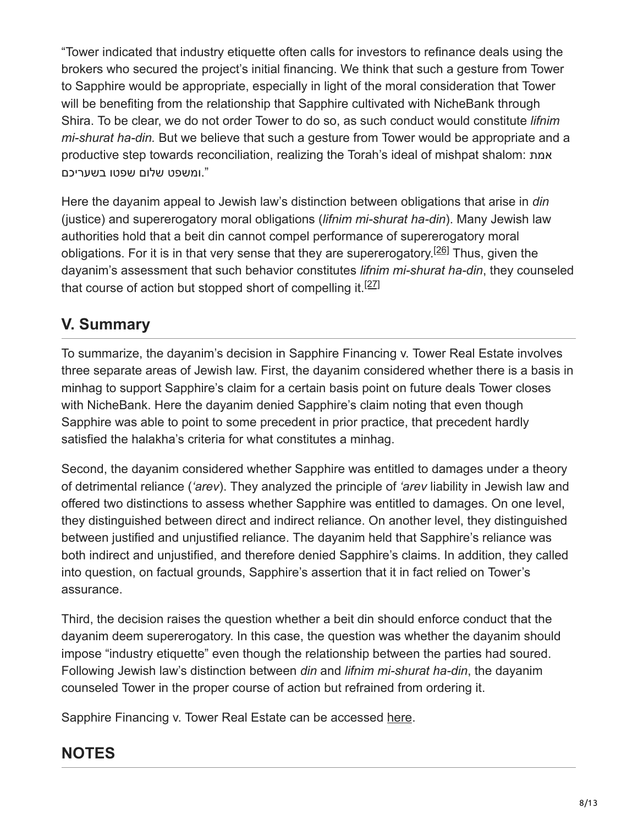"Tower indicated that industry etiquette often calls for investors to refinance deals using the brokers who secured the project's initial financing. We think that such a gesture from Tower to Sapphire would be appropriate, especially in light of the moral consideration that Tower will be benefiting from the relationship that Sapphire cultivated with NicheBank through Shira. To be clear, we do not order Tower to do so, as such conduct would constitute *lifnim mi-shurat ha-din.* But we believe that such a gesture from Tower would be appropriate and a productive step towards reconciliation, realizing the Torah's ideal of mishpat shalom: אמת ".ומשפט שלום שפטו בשעריכם

Here the dayanim appeal to Jewish law's distinction between obligations that arise in *din* (justice) and supererogatory moral obligations (*lifnim mi-shurat ha-din*). Many Jewish law authorities hold that a beit din cannot compel performance of supererogatory moral obligations[.](https://bethdin.org/published-decision-detrimental-reliance-and-promissory-estoppel-in-jewish-law/#_ftn26) For it is in that very sense that they are supererogatory.<sup>[26]</sup> Thus, given the dayanim's assessment that such behavior constitutes *lifnim mi-shurat ha-din*, they counseled that course of action but stopped short of compelling it.<sup>[\[27\]](https://bethdin.org/published-decision-detrimental-reliance-and-promissory-estoppel-in-jewish-law/#_ftn27)</sup>

# **V. Summary**

To summarize, the dayanim's decision in Sapphire Financing v. Tower Real Estate involves three separate areas of Jewish law. First, the dayanim considered whether there is a basis in minhag to support Sapphire's claim for a certain basis point on future deals Tower closes with NicheBank. Here the dayanim denied Sapphire's claim noting that even though Sapphire was able to point to some precedent in prior practice, that precedent hardly satisfied the halakha's criteria for what constitutes a minhag.

Second, the dayanim considered whether Sapphire was entitled to damages under a theory of detrimental reliance (*'arev*). They analyzed the principle of *'arev* liability in Jewish law and offered two distinctions to assess whether Sapphire was entitled to damages. On one level, they distinguished between direct and indirect reliance. On another level, they distinguished between justified and unjustified reliance. The dayanim held that Sapphire's reliance was both indirect and unjustified, and therefore denied Sapphire's claims. In addition, they called into question, on factual grounds, Sapphire's assertion that it in fact relied on Tower's assurance.

Third, the decision raises the question whether a beit din should enforce conduct that the dayanim deem supererogatory. In this case, the question was whether the dayanim should impose "industry etiquette" even though the relationship between the parties had soured. Following Jewish law's distinction between *din* and *lifnim mi-shurat ha-din*, the dayanim counseled Tower in the proper course of action but refrained from ordering it.

Sapphire Financing v. Tower Real Estate can be accessed [here](https://bethdin.org/wp-content/uploads/2022/01/REPORTED-DECISION-13-1.pdf).

# **NOTES**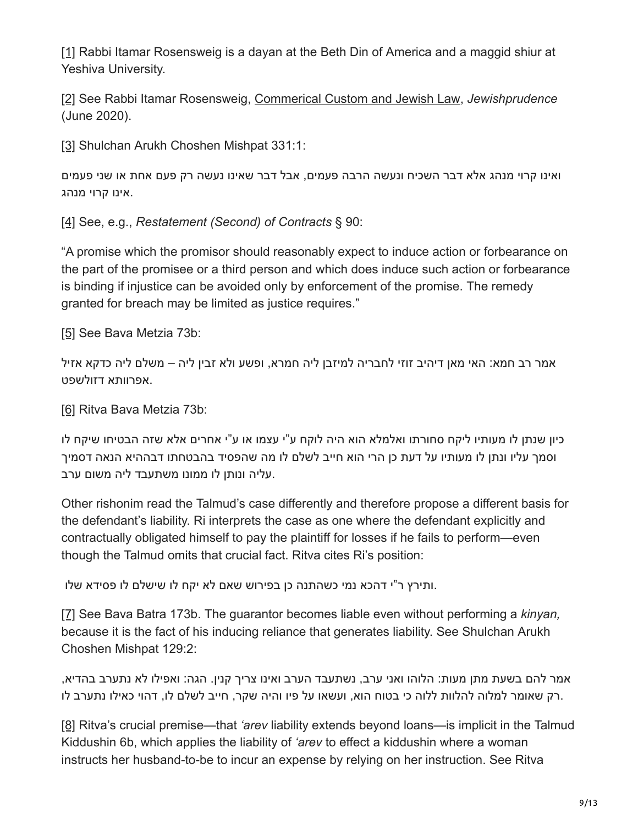[\[1\]](https://bethdin.org/published-decision-detrimental-reliance-and-promissory-estoppel-in-jewish-law/#_ftnref1) Rabbi Itamar Rosensweig is a dayan at the Beth Din of America and a maggid shiur at Yeshiva University.

[\[2\]](https://bethdin.org/published-decision-detrimental-reliance-and-promissory-estoppel-in-jewish-law/#_ftnref2) See Rabbi Itamar Rosensweig, [Commerical Custom and Jewish Law,](https://bethdin.org/commercial-custom-and-jewish-law/) *Jewishprudence* (June 2020).

[\[3\]](https://bethdin.org/published-decision-detrimental-reliance-and-promissory-estoppel-in-jewish-law/#_ftnref3) Shulchan Arukh Choshen Mishpat 331:1:

ואינו קרוי מנהג אלא דבר השכיח ונעשה הרבה פעמים, אבל דבר שאינו נעשה רק פעם אחת או שני פעמים .אינו קרוי מנהג

[\[4\]](https://bethdin.org/published-decision-detrimental-reliance-and-promissory-estoppel-in-jewish-law/#_ftnref4) See, e.g., *Restatement (Second) of Contracts* § 90:

"A promise which the promisor should reasonably expect to induce action or forbearance on the part of the promisee or a third person and which does induce such action or forbearance is binding if injustice can be avoided only by enforcement of the promise. The remedy granted for breach may be limited as justice requires."

[\[5\]](https://bethdin.org/published-decision-detrimental-reliance-and-promissory-estoppel-in-jewish-law/#_ftnref5) See Bava Metzia 73b:

אמר רב חמא: האי מאן דיהיב זוזי לחבריה למיזבן ליה חמרא, ופשע ולא זבין ליה – משלם ליה כדקא אזיל .אפרוותא דזולשפט

[\[6\]](https://bethdin.org/published-decision-detrimental-reliance-and-promissory-estoppel-in-jewish-law/#_ftnref6) Ritva Bava Metzia 73b:

כיון שנתן לו מעותיו ליקח סחורתו ואלמלא הוא היה לוקח ע"י עצמו או ע"י אחרים אלא שזה הבטיחו שיקח לו וסמך עליו ונתן לו מעותיו על דעת כן הרי הוא חייב לשלם לו מה שהפסיד בהבטחתו דבההיא הנאה דסמיך .עליה ונותן לו ממונו משתעבד ליה משום ערב

Other rishonim read the Talmud's case differently and therefore propose a different basis for the defendant's liability. Ri interprets the case as one where the defendant explicitly and contractually obligated himself to pay the plaintiff for losses if he fails to perform—even though the Talmud omits that crucial fact. Ritva cites Ri's position:

.ותירץ ר"י דהכא נמי כשהתנה כן בפירוש שאם לא יקח לו שישלם לו פסידא שלו

[\[7\]](https://bethdin.org/published-decision-detrimental-reliance-and-promissory-estoppel-in-jewish-law/#_ftnref7) See Bava Batra 173b. The guarantor becomes liable even without performing a *kinyan,* because it is the fact of his inducing reliance that generates liability. See Shulchan Arukh Choshen Mishpat 129:2:

אמר להם בשעת מתן מעות: הלוהו ואני ערב, נשתעבד הערב ואינו צריך קנין. הגה: ואפילו לא נתערב בהדיא, .רק שאומר למלוה להלוות ללוה כי בטוח הוא, ועשאו על פיו והיה שקר, חייב לשלם לו, דהוי כאילו נתערב לו

[\[8\]](https://bethdin.org/published-decision-detrimental-reliance-and-promissory-estoppel-in-jewish-law/#_ftnref8) Ritva's crucial premise—that *'arev* liability extends beyond loans—is implicit in the Talmud Kiddushin 6b, which applies the liability of *'arev* to effect a kiddushin where a woman instructs her husband-to-be to incur an expense by relying on her instruction. See Ritva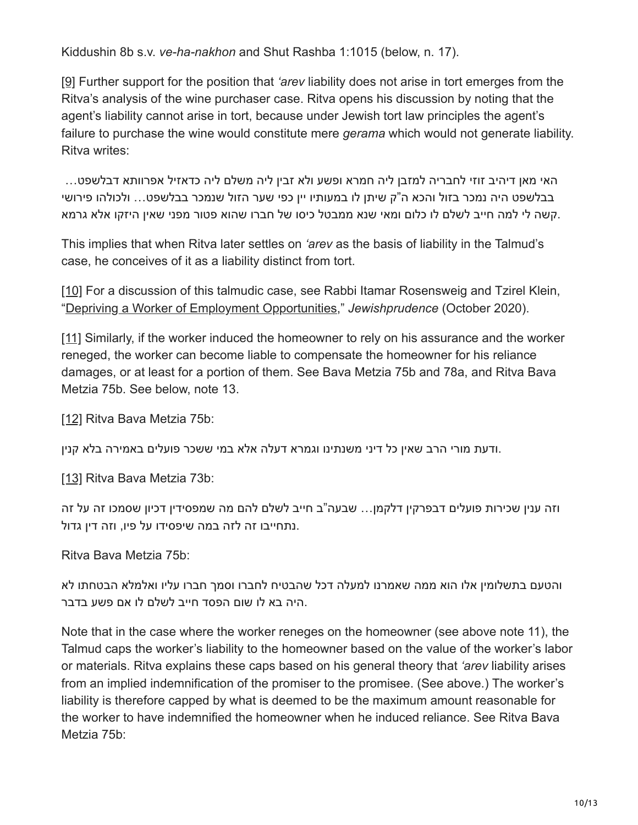Kiddushin 8b s.v. *ve-ha-nakhon* and Shut Rashba 1:1015 (below, n. 17).

[\[9\]](https://bethdin.org/published-decision-detrimental-reliance-and-promissory-estoppel-in-jewish-law/#_ftnref9) Further support for the position that *'arev* liability does not arise in tort emerges from the Ritva's analysis of the wine purchaser case. Ritva opens his discussion by noting that the agent's liability cannot arise in tort, because under Jewish tort law principles the agent's failure to purchase the wine would constitute mere *gerama* which would not generate liability. Ritva writes:

האי מאן דיהיב זוזי לחבריה למזבן ליה חמרא ופשע ולא זבין ליה משלם ליה כדאזיל אפרוותא דבלשפט... בבלשפט היה נמכר בזול והכא ה"ק שיתן לו במעותיו יין כפי שער הזול שנמכר בבלשפט... ולכולהו פירושי .קשה לי למה חייב לשלם לו כלום ומאי שנא ממבטל כיסו של חברו שהוא פטור מפני שאין היזקו אלא גרמא

This implies that when Ritva later settles on *'arev* as the basis of liability in the Talmud's case, he conceives of it as a liability distinct from tort.

[\[10\]](https://bethdin.org/published-decision-detrimental-reliance-and-promissory-estoppel-in-jewish-law/#_ftnref10) For a discussion of this talmudic case, see Rabbi Itamar Rosensweig and Tzirel Klein, "[Depriving a Worker of Employment Opportunities](https://bethdin.org/published-decision-depriving-a-worker-of-employment-opportunities/)," *Jewishprudence* (October 2020).

[\[11\]](https://bethdin.org/published-decision-detrimental-reliance-and-promissory-estoppel-in-jewish-law/#_ftnref11) Similarly, if the worker induced the homeowner to rely on his assurance and the worker reneged, the worker can become liable to compensate the homeowner for his reliance damages, or at least for a portion of them. See Bava Metzia 75b and 78a, and Ritva Bava Metzia 75b. See below, note 13.

[\[12\]](https://bethdin.org/published-decision-detrimental-reliance-and-promissory-estoppel-in-jewish-law/#_ftnref12) Ritva Bava Metzia 75b:

.ודעת מורי הרב שאין כל דיני משנתינו וגמרא דעלה אלא במי ששכר פועלים באמירה בלא קנין

[\[13\]](https://bethdin.org/published-decision-detrimental-reliance-and-promissory-estoppel-in-jewish-law/#_ftnref13) Ritva Bava Metzia 73b:

וזה ענין שכירות פועלים דבפרקין דלקמן... שבעה"ב חייב לשלם להם מה שמפסידין דכיון שסמכו זה על זה .נתחייבו זה לזה במה שיפסידו על פיו, וזה דין גדול

Ritva Bava Metzia 75b:

והטעם בתשלומין אלו הוא ממה שאמרנו למעלה דכל שהבטיח לחברו וסמך חברו עליו ואלמלא הבטחתו לא .היה בא לו שום הפסד חייב לשלם לו אם פשע בדבר

Note that in the case where the worker reneges on the homeowner (see above note 11), the Talmud caps the worker's liability to the homeowner based on the value of the worker's labor or materials. Ritva explains these caps based on his general theory that *'arev* liability arises from an implied indemnification of the promiser to the promisee. (See above.) The worker's liability is therefore capped by what is deemed to be the maximum amount reasonable for the worker to have indemnified the homeowner when he induced reliance. See Ritva Bava Metzia 75b: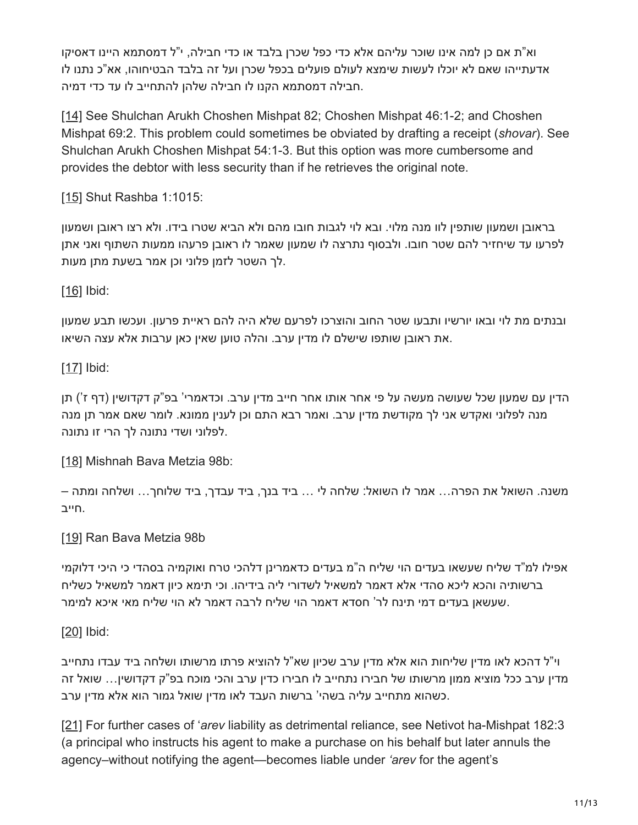וא"ת אם כן למה אינו שוכר עליהם אלא כדי כפל שכרן בלבד או כדי חבילה, י"ל דמסתמא היינו דאסיקו אדעתייהו שאם לא יוכלו לעשות שימצא לעולם פועלים בכפל שכרן ועל זה בלבד הבטיחוהו, אא"כ נתנו לו .חבילה דמסתמא הקנו לו חבילה שלהן להתחייב לו עד כדי דמיה

[\[14\]](https://bethdin.org/published-decision-detrimental-reliance-and-promissory-estoppel-in-jewish-law/#_ftnref14) See Shulchan Arukh Choshen Mishpat 82; Choshen Mishpat 46:1-2; and Choshen Mishpat 69:2. This problem could sometimes be obviated by drafting a receipt (*shovar*). See Shulchan Arukh Choshen Mishpat 54:1-3. But this option was more cumbersome and provides the debtor with less security than if he retrieves the original note.

[\[15\]](https://bethdin.org/published-decision-detrimental-reliance-and-promissory-estoppel-in-jewish-law/#_ftnref15) Shut Rashba 1:1015:

בראובן ושמעון שותפין לוו מנה מלוי. ובא לוי לגבות חובו מהם ולא הביא שטרו בידו. ולא רצו ראובן ושמעון לפרעו עד שיחזיר להם שטר חובו. ולבסוף נתרצה לו שמעון שאמר לו ראובן פרעהו ממעות השתוף ואני אתן .לך השטר לזמן פלוני וכן אמר בשעת מתן מעות

 $[16]$  Ibid:

ובנתים מת לוי ובאו יורשיו ותבעו שטר החוב והוצרכו לפרעם שלא היה להם ראיית פרעון. ועכשו תבע שמעון .את ראובן שותפו שישלם לו מדין ערב. והלה טוען שאין כאן ערבות אלא עצה השיאו

[\[17\]](https://bethdin.org/published-decision-detrimental-reliance-and-promissory-estoppel-in-jewish-law/#_ftnref17) **Ibid:** 

הדין עם שמעון שכל שעושה מעשה על פי אחר אותו אחר חייב מדין ערב. וכדאמרי' בפ"ק דקדושין (דף ז') תן מנה לפלוני ואקדש אני לך מקודשת מדין ערב. ואמר רבא התם וכן לענין ממונא. לומר שאם אמר תן מנה .לפלוני ושדי נתונה לך הרי זו נתונה

[\[18\]](https://bethdin.org/published-decision-detrimental-reliance-and-promissory-estoppel-in-jewish-law/#_ftnref18) Mishnah Bava Metzia 98b:

משנה. השואל את הפרה... אמר לו השואל: שלחה לי ... ביד בנך, ביד עבדך, ביד שלוחך... ושלחה ומתה – .חייב

[\[19\]](https://bethdin.org/published-decision-detrimental-reliance-and-promissory-estoppel-in-jewish-law/#_ftnref19) Ran Bava Metzia 98b

אפילו למ"ד שליח שעשאו בעדים הוי שליח ה"מ בעדים כדאמרינן דלהכי טרח ואוקמיה בסהדי כי היכי דלוקמי ברשותיה והכא ליכא סהדי אלא דאמר למשאיל לשדורי ליה בידיהו. וכי תימא כיון דאמר למשאיל כשליח .שעשאן בעדים דמי תינח לר' חסדא דאמר הוי שליח לרבה דאמר לא הוי שליח מאי איכא למימר

[\[20\]](https://bethdin.org/published-decision-detrimental-reliance-and-promissory-estoppel-in-jewish-law/#_ftnref20) Ibid:

וי"ל דהכא לאו מדין שליחות הוא אלא מדין ערב שכיון שא"ל להוציא פרתו מרשותו ושלחה ביד עבדו נתחייב מדין ערב ככל מוציא ממון מרשותו של חבירו נתחייב לו חבירו כדין ערב והכי מוכח בפ"ק דקדושין... שואל זה .כשהוא מתחייב עליה בשהי' ברשות העבד לאו מדין שואל גמור הוא אלא מדין ערב

[\[21\]](https://bethdin.org/published-decision-detrimental-reliance-and-promissory-estoppel-in-jewish-law/#_ftnref21) For further cases of '*arev* liability as detrimental reliance, see Netivot ha-Mishpat 182:3 (a principal who instructs his agent to make a purchase on his behalf but later annuls the agency–without notifying the agent—becomes liable under *'arev* for the agent's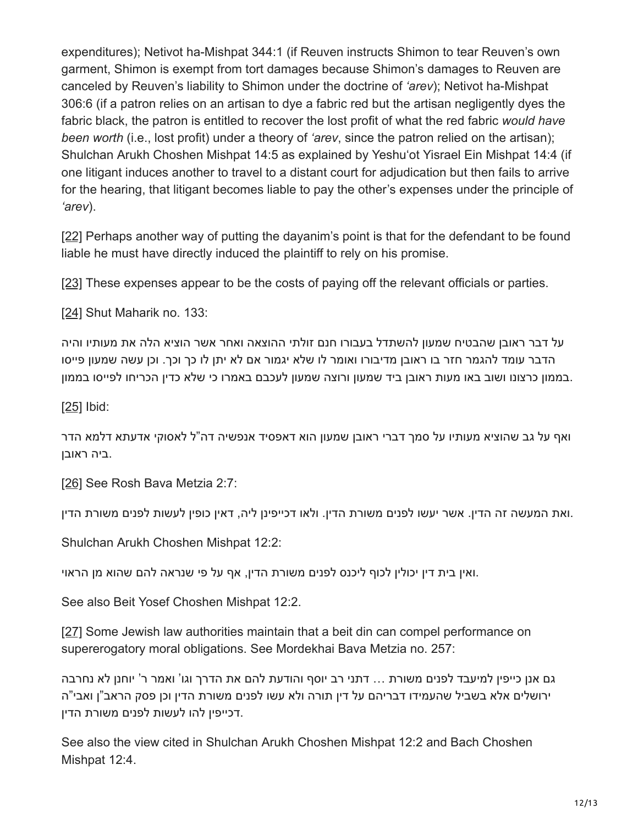expenditures); Netivot ha-Mishpat 344:1 (if Reuven instructs Shimon to tear Reuven's own garment, Shimon is exempt from tort damages because Shimon's damages to Reuven are canceled by Reuven's liability to Shimon under the doctrine of *'arev*); Netivot ha-Mishpat 306:6 (if a patron relies on an artisan to dye a fabric red but the artisan negligently dyes the fabric black, the patron is entitled to recover the lost profit of what the red fabric *would have been worth* (i.e., lost profit) under a theory of *'arev*, since the patron relied on the artisan); Shulchan Arukh Choshen Mishpat 14:5 as explained by Yeshu'ot Yisrael Ein Mishpat 14:4 (if one litigant induces another to travel to a distant court for adjudication but then fails to arrive for the hearing, that litigant becomes liable to pay the other's expenses under the principle of *'arev*).

[\[22\]](https://bethdin.org/published-decision-detrimental-reliance-and-promissory-estoppel-in-jewish-law/#_ftnref22) Perhaps another way of putting the dayanim's point is that for the defendant to be found liable he must have directly induced the plaintiff to rely on his promise.

[\[23\]](https://bethdin.org/published-decision-detrimental-reliance-and-promissory-estoppel-in-jewish-law/#_ftnref23) These expenses appear to be the costs of paying off the relevant officials or parties.

[\[24\]](https://bethdin.org/published-decision-detrimental-reliance-and-promissory-estoppel-in-jewish-law/#_ftnref24) Shut Maharik no. 133:

על דבר ראובן שהבטיח שמעון להשתדל בעבורו חנם זולתי ההוצאה ואחר אשר הוציא הלה את מעותיו והיה הדבר עומד להגמר חזר בו ראובן מדיבורו ואומר לו שלא יגמור אם לא יתן לו כך וכך. וכן עשה שמעון פייסו .בממון כרצונו ושוב באו מעות ראובן ביד שמעון ורוצה שמעון לעכבם באמרו כי שלא כדין הכריחו לפייסו בממון

 $[25]$  Ibid:

ואף על גב שהוציא מעותיו על סמך דברי ראובן שמעון הוא דאפסיד אנפשיה דה"ל לאסוקי אדעתא דלמא הדר .ביה ראובן

[\[26\]](https://bethdin.org/published-decision-detrimental-reliance-and-promissory-estoppel-in-jewish-law/#_ftnref26) See Rosh Bava Metzia 2:7:

.ואת המעשה זה הדין. אשר יעשו לפנים משורת הדין. ולאו דכייפינן ליה, דאין כופין לעשות לפנים משורת הדין

Shulchan Arukh Choshen Mishpat 12:2:

.ואין בית דין יכולין לכוף ליכנס לפנים משורת הדין, אף על פי שנראה להם שהוא מן הראוי

See also Beit Yosef Choshen Mishpat 12:2.

[\[27\]](https://bethdin.org/published-decision-detrimental-reliance-and-promissory-estoppel-in-jewish-law/#_ftnref27) Some Jewish law authorities maintain that a beit din can compel performance on supererogatory moral obligations. See Mordekhai Bava Metzia no. 257:

גם אנן כייפין למיעבד לפנים משורת ... דתני רב יוסף והודעת להם את הדרך וגו' ואמר ר' יוחנן לא נחרבה ירושלים אלא בשביל שהעמידו דבריהם על דין תורה ולא עשו לפנים משורת הדין וכן פסק הראב"ן ואבי"ה .דכייפין להו לעשות לפנים משורת הדין

See also the view cited in Shulchan Arukh Choshen Mishpat 12:2 and Bach Choshen Mishpat 12:4.